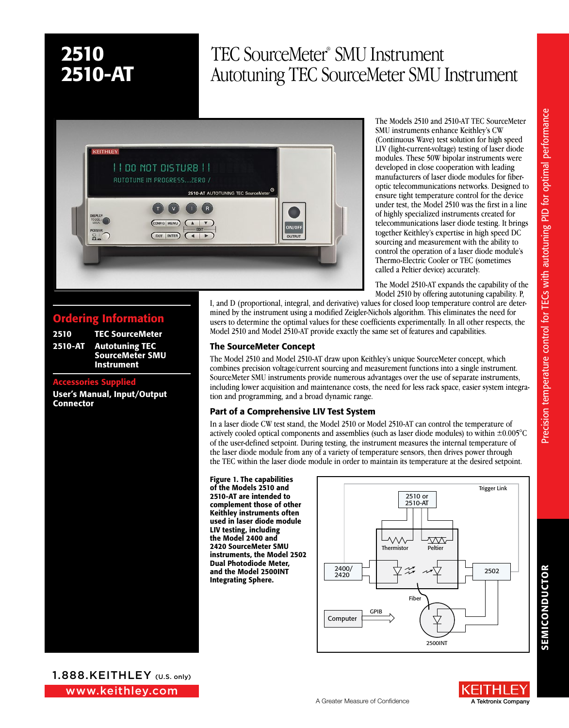Ordering Information 2510 TEC SourceMeter 2510-AT Autotuning TEC

User's Manual, Input/Output

Accessories Supplied

**Connector** 

SourceMeter SMU Instrument

# TEC SourceMeter® SMU Instrument Autotuning TEC SourceMeter SMU Instrument



The Models 2510 and 2510-AT TEC SourceMeter SMU instruments enhance Keithley's CW (Continuous Wave) test solution for high speed LIV (light-current-voltage) testing of laser diode modules. These 50W bipolar instruments were developed in close cooperation with leading manufacturers of laser diode modules for fiberoptic telecommunications networks. Designed to ensure tight temperature control for the device under test, the Model 2510 was the first in a line of highly specialized instruments created for telecommunications laser diode testing. It brings together Keithley's expertise in high speed DC sourcing and measurement with the ability to control the operation of a laser diode module's Thermo-Electric Cooler or TEC (sometimes called a Peltier device) accurately.

The Model 2510-AT expands the capability of the Model 2510 by offering autotuning capability. P,

I, and D (proportional, integral, and derivative) values for closed loop temperature control are determined by the instrument using a modified Zeigler-Nichols algorithm. This eliminates the need for users to determine the optimal values for these coefficients experimentally. In all other respects, the Model 2510 and Model 2510-AT provide exactly the same set of features and capabilities.

## The SourceMeter Concept

The Model 2510 and Model 2510-AT draw upon Keithley's unique SourceMeter concept, which combines precision voltage/current sourcing and measurement functions into a single instrument. SourceMeter SMU instruments provide numerous advantages over the use of separate instruments, including lower acquisition and maintenance costs, the need for less rack space, easier system integration and programming, and a broad dynamic range.

## Part of a Comprehensive LIV Test System

In a laser diode CW test stand, the Model 2510 or Model 2510-AT can control the temperature of actively cooled optical components and assemblies (such as laser diode modules) to within ±0.005°C of the user-defined setpoint. During testing, the instrument measures the internal temperature of the laser diode module from any of a variety of temperature sensors, then drives power through the TEC within the laser diode module in order to maintain its temperature at the desired setpoint.

#### Figure 1. The capabilities

of the Models 2510 and 2510-AT are intended to complement those of other Keithley instruments often used in laser diode module LIV testing, including the Model 2400 and 2420 SourceMeter SMU instruments, the Model 2502 Dual Photodiode Meter, and the Model 2500INT Integrating Sphere.



SEMICONDUCTOR

**SEMICONDUCTOR** 

www.keithley.com 1.888.KEITHLEY (U.S. only)

2510-3Y-EW 1-year factory warranty extended to 3 years from 2510-AT-3Y-EW 1-year factory warranty extended to 3 years from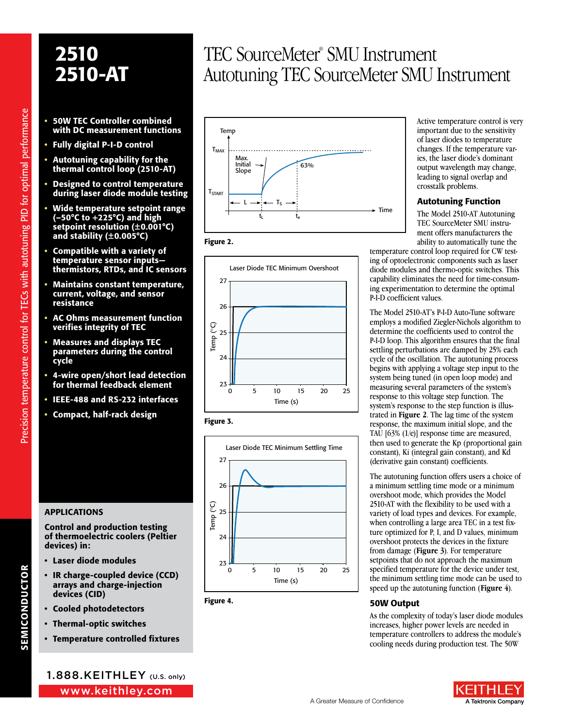- 50W TEC Controller combined with DC measurement functions
- Fully digital P-I-D control
- Autotuning capability for the thermal control loop (2510-AT)
- Designed to control temperature during laser diode module testing
- Wide temperature setpoint range (–50°C to +225°C) and high setpoint resolution (±0.001°C) and stability (±0.005°C)
- Compatible with a variety of temperature sensor inputs thermistors, RTDs, and IC sensors
- Maintains constant temperature, current, voltage, and sensor resistance
- AC Ohms measurement function verifies integrity of TEC
- Measures and displays TEC parameters during the control cycle
- 4-wire open/short lead detection for thermal feedback element
- IEEE-488 and RS-232 interfaces
- Compact, half-rack design

# **APPLICATIONS**

Control and production testing of thermoelectric coolers (Peltier devices) in:

- Laser diode modules
- IR charge-coupled device (CCD) arrays and charge-injection devices (CID)
- Cooled photodetectors
- Thermal-optic switches
- Temperature controlled fixtures

# TEC SourceMeter® SMU Instrument Autotuning TEC SourceMeter SMU Instrument











Figure 4.

Active temperature control is very important due to the sensitivity of laser diodes to temperature changes. If the temperature varies, the laser diode's dominant output wavelength may change, leading to signal overlap and crosstalk problems.

### Autotuning Function

The Model 2510-AT Autotuning TEC SourceMeter SMU instrument offers manufacturers the ability to automatically tune the

temperature control loop required for CW testing of optoelectronic components such as laser diode modules and thermo-optic switches. This capability eliminates the need for time-consuming experimentation to determine the optimal P-I-D coefficient values.

The Model 2510-AT's P-I-D Auto-Tune software employs a modified Ziegler-Nichols algorithm to determine the coefficients used to control the P-I-D loop. This algorithm ensures that the final settling perturbations are damped by 25% each cycle of the oscillation. The autotuning process begins with applying a voltage step input to the system being tuned (in open loop mode) and measuring several parameters of the system's response to this voltage step function. The system's response to the step function is illustrated in **Figure 2**. The lag time of the system response, the maximum initial slope, and the TAU [63% (1/e)] response time are measured, then used to generate the Kp (proportional gain constant), Ki (integral gain constant), and Kd (derivative gain constant) coefficients.

The autotuning function offers users a choice of a minimum settling time mode or a minimum overshoot mode, which provides the Model 2510-AT with the flexibility to be used with a variety of load types and devices. For example, when controlling a large area TEC in a test fixture optimized for P, I, and D values, minimum overshoot protects the devices in the fixture from damage (**Figure 3**). For temperature setpoints that do not approach the maximum specified temperature for the device under test, the minimum settling time mode can be used to speed up the autotuning function (**Figure 4**).

## 50W Output

As the complexity of today's laser diode modules increases, higher power levels are needed in temperature controllers to address the module's cooling needs during production test. The 50W





SEMICONDUCTOR

**SEMICONDUCTOR**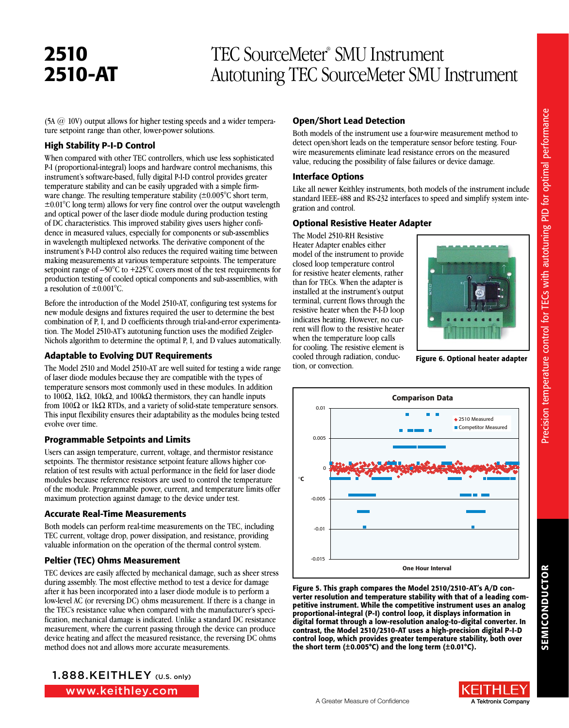# TEC SourceMeter® SMU Instrument Autotuning TEC SourceMeter SMU Instrument

(5A @ 10V) output allows for higher testing speeds and a wider temperature setpoint range than other, lower-power solutions.

### High Stability P-I-D Control

When compared with other TEC controllers, which use less sophisticated P-I (proportional-integral) loops and hardware control mechanisms, this instrument's software-based, fully digital P-I-D control provides greater temperature stability and can be easily upgraded with a simple firmware change. The resulting temperature stability  $(\pm 0.005^{\circ} \text{C} \text{ short term},$ ±0.01°C long term) allows for very fine control over the output wavelength and optical power of the laser diode module during production testing of DC characteristics. This improved stability gives users higher confidence in measured values, especially for components or sub-assemblies in wavelength multiplexed networks. The derivative component of the instrument's P-I-D control also reduces the required waiting time between making measurements at various temperature setpoints. The temperature setpoint range of –50°C to +225°C covers most of the test requirements for production testing of cooled optical components and sub-assemblies, with a resolution of  $\pm 0.001^{\circ}$ C.

Before the introduction of the Model 2510-AT, configuring test systems for new module designs and fixtures required the user to determine the best combination of P, I, and D coefficients through trial-and-error experimentation. The Model 2510-AT's autotuning function uses the modified Zeigler-Nichols algorithm to determine the optimal P, I, and D values automatically.

## Adaptable to Evolving DUT Requirements

The Model 2510 and Model 2510-AT are well suited for testing a wide range of laser diode modules because they are compatible with the types of temperature sensors most commonly used in these modules. In addition to 100 $\Omega$ , 1k $\Omega$ , 10k $\Omega$ , and 100k $\Omega$  thermistors, they can handle inputs from 100 $\Omega$  or 1k $\Omega$  RTDs, and a variety of solid-state temperature sensors. This input flexibility ensures their adaptability as the modules being tested evolve over time.

## Programmable Setpoints and Limits

Users can assign temperature, current, voltage, and thermistor resistance setpoints. The thermistor resistance setpoint feature allows higher correlation of test results with actual performance in the field for laser diode modules because reference resistors are used to control the temperature of the module. Programmable power, current, and temperature limits offer maximum protection against damage to the device under test.

## Accurate Real-Time Measurements

Both models can perform real-time measurements on the TEC, including TEC current, voltage drop, power dissipation, and resistance, providing valuable information on the operation of the thermal control system.

# Peltier (TEC) Ohms Measurement

TEC devices are easily affected by mechanical damage, such as sheer stress during assembly. The most effective method to test a device for damage after it has been incorporated into a laser diode module is to perform a low-level AC (or reversing DC) ohms measurement. If there is a change in the TEC's resistance value when compared with the manufacturer's specification, mechanical damage is indicated. Unlike a standard DC resistance measurement, where the current passing through the device can produce device heating and affect the measured resistance, the reversing DC ohms method does not and allows more accurate measurements.



## Open/Short Lead Detection

Both models of the instrument use a four-wire measurement method to detect open/short leads on the temperature sensor before testing. Fourwire measurements eliminate lead resistance errors on the measured value, reducing the possibility of false failures or device damage.

## Interface Options

Like all newer Keithley instruments, both models of the instrument include standard IEEE-488 and RS-232 interfaces to speed and simplify system integration and control.

## Optional Resistive Heater Adapter

The Model 2510-RH Resistive Heater Adapter enables either model of the instrument to provide closed loop temperature control for resistive heater elements, rather than for TECs. When the adapter is installed at the instrument's output terminal, current flows through the resistive heater when the P-I-D loop indicates heating. However, no current will flow to the resistive heater when the temperature loop calls for cooling. The resistive element is cooled through radiation, conduction, or convection.



Figure 6. Optional heater adapter



Figure 5. This graph compares the Model 2510/2510-AT's A/D converter resolution and temperature stability with that of a leading competitive instrument. While the competitive instrument uses an analog proportional-integral (P-I) control loop, it displays information in digital format through a low-resolution analog-to-digital converter. In contrast, the Model 2510/2510-AT uses a high-precision digital P-I-D control loop, which provides greater temperature stability, both over the short term  $(\pm 0.005^{\circ}C)$  and the long term  $(\pm 0.01^{\circ}C)$ .

A Tektronix Company